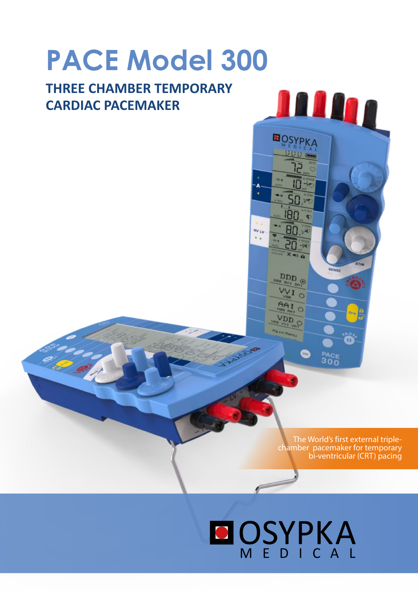# **PACE Model 300**

# **THREE CHAMBER TEMPORARY CARDIAC PACEMAKER**

The World's first external triplechamber pacemaker for temporary bi-ventricular (CRT) pacing

ŏ

**BACE** 

<u>nana a</u>

**BOSYPKA** 

50

80 vq

 $\bullet$ 

180

 $\overbrace{\mathop{\rm DDD}_{\alpha\alpha\atop \alpha\beta\alpha}}^{\rm DDD}$ **ANTO** 

O IAA D<sub>D</sub>

RV LV

# **MEDICAL**